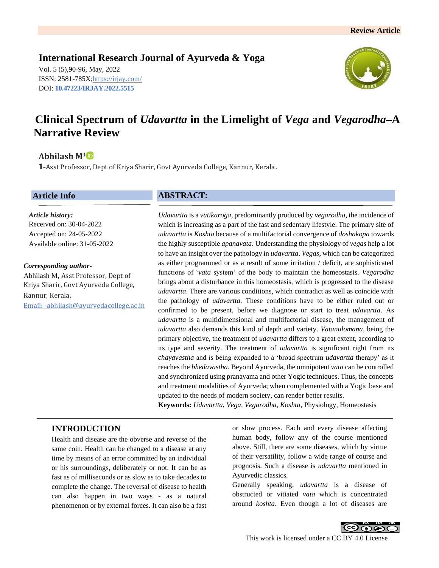## **International Research Journal of Ayurveda & Yoga**

Vol. 5 (5),90-96, May, 2022 ISSN: 2581-785X[; https://irjay.com/](https://irjay.com/) DOI: **10.47223/IRJAY.2022.5515**



# **Clinical Spectrum of** *Udavartta* **in the Limelight of** *Vega* **and** *Vegarodha–***A Narrative Review**

## **Abhilash M<sup>1</sup>**

**1-**Asst Professor, Dept of Kriya Sharir, Govt Ayurveda College, Kannur, Kerala.

### **Article Info**

*Article history:* Received on: 30-04-2022 Accepted on: 24-05-2022 Available online: 31-05-2022

#### *Corresponding author-*

Abhilash M, Asst Professor, Dept of Kriya Sharir, Govt Ayurveda College, Kannur, Kerala. Email: -abhilash@ayurvedacollege.ac.in

### **ABSTRACT:**

*Udavartta* is a *vatikaroga*, predominantly produced by *vegarodha*, the incidence of which is increasing as a part of the fast and sedentary lifestyle. The primary site of *udavartta* is *Koshta* because of a multifactorial convergence of *doshakopa* towards the highly susceptible *apanavata*. Understanding the physiology of *vegas* help a lot to have an insight over the pathology in *udavartta*. *Vegas*, which can be categorized as either programmed or as a result of some irritation / deficit, are sophisticated functions of '*vata* system' of the body to maintain the homeostasis. *Vegarodha* brings about a disturbance in this homeostasis, which is progressed to the disease *udavartta*. There are various conditions, which contradict as well as coincide with the pathology of *udavartta*. These conditions have to be either ruled out or confirmed to be present, before we diagnose or start to treat *udavartta*. As *udavartta* is a multidimensional and multifactorial disease, the management of *udavartta* also demands this kind of depth and variety. *Vatanulomana*, being the primary objective, the treatment of *udavartta* differs to a great extent, according to its type and severity. The treatment of *udavartta* is significant right from its *chayavastha* and is being expanded to a 'broad spectrum *udavartta* therapy' as it reaches the *bhedavastha*. Beyond Ayurveda, the omnipotent *vata* can be controlled and synchronized using pranayama and other Yogic techniques. Thus, the concepts and treatment modalities of Ayurveda; when complemented with a Yogic base and updated to the needs of modern society, can render better results.

**Keywords:** *Udavartta, Vega, Vegarodha, Koshta,* Physiology, Homeostasis

## **INTRODUCTION**

Health and disease are the obverse and reverse of the same coin. Health can be changed to a disease at any time by means of an error committed by an individual or his surroundings, deliberately or not. It can be as fast as of milliseconds or as slow as to take decades to complete the change. The reversal of disease to health can also happen in two ways - as a natural phenomenon or by external forces. It can also be a fast or slow process. Each and every disease affecting human body, follow any of the course mentioned above. Still, there are some diseases, which by virtue of their versatility, follow a wide range of course and prognosis. Such a disease is *udavartta* mentioned in Ayurvedic classics.

Generally speaking, *udavartta* is a disease of obstructed or vitiated *vata* which is concentrated around *koshta*. Even though a lot of diseases are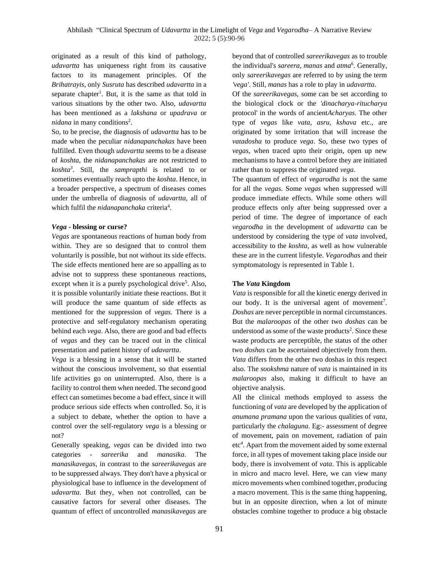originated as a result of this kind of pathology, *udavartta* has uniqueness right from its causative factors to its management principles. Of the *Brihatrayis*, only *Susruta* has described *udavartta* in a separate chapter<sup>1</sup>. But, it is the same as that told in various situations by the other two. Also, *udavartta* has been mentioned as a *lakshana* or *upadrava* or *nidana* in many conditions<sup>2</sup>.

So, to be precise, the diagnosis of *udavartta* has to be made when the peculiar *nidanapanchakas* have been fulfilled. Even though *udavartta* seems to be a disease of *koshta*, the *nidanapanchakas* are not restricted to *koshta<sup>3</sup>* . Still, the *samprapthi* is related to or sometimes eventually reach upto the *koshta*. Hence, in a broader perspective, a spectrum of diseases comes under the umbrella of diagnosis of *udavartta*, all of which fulfil the *nidanapanchaka* criteria<sup>4</sup>.

#### *Vega* **- blessing or curse?**

*Vegas* are spontaneous reactions of human body from within. They are so designed that to control them voluntarily is possible, but not without its side effects. The side effects mentioned here are so appalling as to advise not to suppress these spontaneous reactions, except when it is a purely psychological drive<sup>5</sup>. Also, it is possible voluntarily initiate these reactions. But it will produce the same quantum of side effects as mentioned for the suppression of *vegas*. There is a protective and self-regulatory mechanism operating behind each *vega*. Also, there are good and bad effects of *vegas* and they can be traced out in the clinical presentation and patient history of *udavartta*.

*Vega* is a blessing in a sense that it will be started without the conscious involvement, so that essential life activities go on uninterrupted. Also, there is a facility to control them when needed. The second good effect can sometimes become a bad effect, since it will produce serious side effects when controlled. So, it is a subject to debate, whether the option to have a control over the self-regulatory *vega* is a blessing or not?

Generally speaking, *vegas* can be divided into two categories - *sareerika* and *manasika*. The *manasikavegas*, in contrast to the *sareerikavegas* are to be suppressed always. They don't have a physical or physiological base to influence in the development of *udavartta.* But they, when not controlled, can be causative factors for several other diseases. The quantum of effect of uncontrolled *manasikavegas* are beyond that of controlled *sareerikavegas* as to trouble the individual's *sareera, manas* and *atma*<sup>6</sup> . Generally, only *sareerikavegas* are referred to by using the term *'vega'*. Still, *manas* has a role to play in *udavartta*.

Of the *sareerikavegas,* some can be set according to the biological clock or the *'dinacharya-ritucharya*  protocol' in the words of ancient*Acharyas*. The other type of *vegas* like *vata, asru, kshava* etc., are originated by some irritation that will increase the *vatadosha* to produce *vega*. So, these two types of *vegas*, when traced upto their origin, open up new mechanisms to have a control before they are initiated rather than to suppress the originated *vega*.

The quantum of effect of *vegarodha* is not the same for all the *vegas*. Some *vegas* when suppressed will produce immediate effects. While some others will produce effects only after being suppressed over a period of time. The degree of importance of each *vegarodha* in the development of *udavartta* can be understood by considering the type of *vata* involved, accessibility to the *koshta*, as well as how vulnerable these are in the current lifestyle. *Vegarodhas* and their symptomatology is represented in Table 1.

#### **The** *Vata* **Kingdom**

*Vata* is responsible for all the kinetic energy derived in our body. It is the universal agent of movement<sup>7</sup>. *Doshas* are never perceptible in normal circumstances. But the *malaroopas* of the other two *doshas* can be understood as some of the waste products<sup>2</sup>. Since these waste products are perceptible, the status of the other two *doshas* can be ascertained objectively from them. *Vata* differs from the other two doshas in this respect also. The *sookshma* nature of *vata* is maintained in its *malaroopas* also, making it difficult to have an objective analysis.

All the clinical methods employed to assess the functioning of *vata* are developed by the application of *anumana pramana* upon the various qualities of *vata*, particularly the *chalaguna*. Eg:- assessment of degree of movement, pain on movement, radiation of pain etc<sup>4</sup>. Apart from the movement aided by some external force, in all types of movement taking place inside our body, there is involvement of *vata*. This is applicable in micro and macro level. Here, we can view many micro movements when combined together, producing a macro movement. This is the same thing happening, but in an opposite direction, when a lot of minute obstacles combine together to produce a big obstacle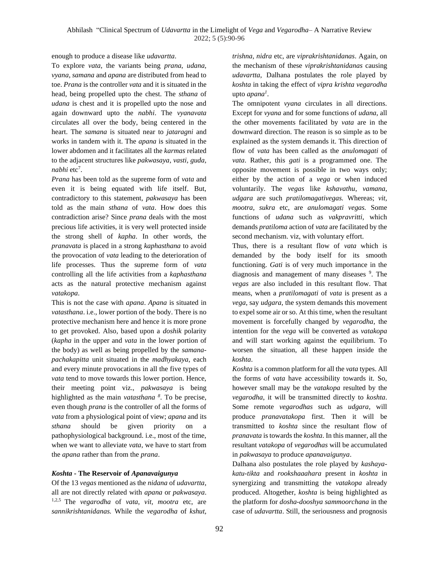enough to produce a disease like *udavartta*.

To explore *vata*, the variants being *prana*, *udana, vyana, samana* and *apana* are distributed from head to toe. *Prana* is the controller *vata* and it is situated in the head, being propelled upto the chest. The *sthana* of *udana* is chest and it is propelled upto the nose and again downward upto the *nabhi*. The *vyanavata* circulates all over the body, being centered in the heart. The *samana* is situated near to *jataragni* and works in tandem with it. The *apana* is situated in the lower abdomen and it facilitates all the *karmas* related to the adjacent structures like *pakwasaya*, *vasti, guda, nabhi* etc<sup>7</sup> .

*Prana* has been told as the supreme form of *vata* and even it is being equated with life itself. But, contradictory to this statement, *pakwasaya* has been told as the main *sthana* of *vata*. How does this contradiction arise? Since *prana* deals with the most precious life activities, it is very well protected inside the strong shell of *kapha*. In other words, the *pranavata* is placed in a strong *kaphasthana* to avoid the provocation of *vata* leading to the deterioration of life processes. Thus the supreme form of *vata* controlling all the life activities from a *kaphasthana* acts as the natural protective mechanism against *vatakopa*.

This is not the case with *apana*. *Apana* is situated in *vatasthana*. i.e., lower portion of the body. There is no protective mechanism here and hence it is more prone to get provoked. Also, based upon a *doshik* polarity (*kapha* in the upper and *vata* in the lower portion of the body) as well as being propelled by the *samanapachakapitta* unit situated in the *madhyakaya*, each and every minute provocations in all the five types of *vata* tend to move towards this lower portion. Hence, their meeting point viz., *pakwasaya* is being highlighted as the main *vatasthana <sup>8</sup>* . To be precise, even though *prana* is the controller of all the forms of *vata* from a physiological point of view; *apana* and its *sthana* should be given priority on a pathophysiological background. i.e., most of the time, when we want to alleviate *vata*, we have to start from the *apana* rather than from the *prana*.

### *Koshta* **- The Reservoir of** *Apanavaigunya*

Of the 13 *vegas* mentioned as the *nidana* of *udavartta*, all are not directly related with *apana* or *pakwasaya*. 1,2,5 The *vegarodha* of *vata*, *vit, mootra* etc, are *sannikrishtanidanas.* While the *vegarodha* of *kshut,* 

*trishna, nidra* etc, are *viprakrishtanidanas*. Again, on the mechanism of these *viprakrishtanidanas* causing *udavartta*, Dalhana postulates the role played by *koshta* in taking the effect of *vipra krishta vegarodha* upto *apana<sup>1</sup>* .

The omnipotent *vyana* circulates in all directions. Except for *vyana* and for some functions of *udana*, all the other movements facilitated by *vata* are in the downward direction. The reason is so simple as to be explained as the system demands it. This direction of flow of *vata* has been called as the *anulomagati* of *vata*. Rather, this *gati* is a programmed one. The opposite movement is possible in two ways only; either by the action of a *vega* or when induced voluntarily. The *vegas* like *kshavathu*, *vamana*, *udgara* are such *pratilomagativegas.* Whereas; *vit, mootra, sukra* etc, are *anulomagati vegas.* Some functions of *udana* such as *vakpravritti*, which demands *pratiloma* action of *vata* are facilitated by the second mechanism. viz, with voluntary effort.

Thus, there is a resultant flow of *vata* which is demanded by the body itself for its smooth functioning. *Gati* is of very much importance in the diagnosis and management of many diseases <sup>9</sup>. The *vegas* are also included in this resultant flow. That means, when a *pratilomagati* of *vata* is present as a *vega*, say *udgara*, the system demands this movement to expel some air or so. At this time, when the resultant movement is forcefully changed by *vegarodha*, the intention for the *vega* will be converted as *vatakopa* and will start working against the equilibrium. To worsen the situation, all these happen inside the *koshta*.

*Koshta* is a common platform for all the *vata* types. All the forms of *vata* have accessibility towards it. So, however small may be the *vatakopa* resulted by the *vegarodha*, it will be transmitted directly to *koshta*. Some remote *vegarodhas* such as *udgara*, will produce *pranavatakopa* first. Then it will be transmitted to *koshta* since the resultant flow of *pranavata* is towards the *koshta*. In this manner, all the resultant *vatakopa* of *vegarodhas* will be accumulated in *pakwasaya* to produce *apanavaigunya*.

Dalhana also postulates the role played by *kashayakatu-tikta* and *rookshaaahara* present in *koshta* in synergizing and transmitting the *vatakopa* already produced. Altogether, *koshta* is being highlighted as the platform for *dosha-dooshya sammoorchana* in the case of *udavartta*. Still, the seriousness and prognosis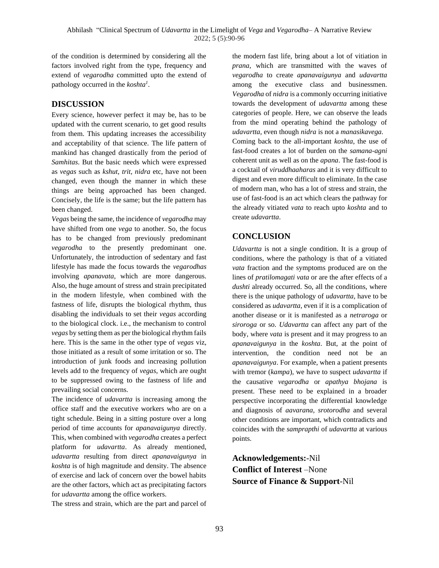of the condition is determined by considering all the factors involved right from the type, frequency and extend of *vegarodha* committed upto the extend of pathology occurred in the *koshta<sup>1</sup>* .

## **DISCUSSION**

Every science, however perfect it may be, has to be updated with the current scenario, to get good results from them. This updating increases the accessibility and acceptability of that science. The life pattern of mankind has changed drastically from the period of *Samhitas*. But the basic needs which were expressed as *vegas* such as *kshut*, *trit*, *nidra* etc, have not been changed, even though the manner in which these things are being approached has been changed. Concisely, the life is the same; but the life pattern has been changed.

*Vegas* being the same, the incidence of *vegarodha* may have shifted from one *vega* to another. So, the focus has to be changed from previously predominant *vegarodha* to the presently predominant one. Unfortunately, the introduction of sedentary and fast lifestyle has made the focus towards the *vegarodhas* involving *apanavata*, which are more dangerous. Also, the huge amount of stress and strain precipitated in the modern lifestyle, when combined with the fastness of life, disrupts the biological rhythm, thus disabling the individuals to set their *vegas* according to the biological clock. i.e., the mechanism to control *vegas* by setting them as per the biological rhythm fails here. This is the same in the other type of *vegas* viz, those initiated as a result of some irritation or so. The introduction of junk foods and increasing pollution levels add to the frequency of *vegas*, which are ought to be suppressed owing to the fastness of life and prevailing social concerns.

The incidence of *udavartta* is increasing among the office staff and the executive workers who are on a tight schedule. Being in a sitting posture over a long period of time accounts for *apanavaigunya* directly. This, when combined with *vegarodha* creates a perfect platform for *udavartta*. As already mentioned, *udavartta* resulting from direct *apanavaigunya* in *koshta* is of high magnitude and density. The absence of exercise and lack of concern over the bowel habits are the other factors, which act as precipitating factors for *udavartta* among the office workers.

The stress and strain, which are the part and parcel of

the modern fast life, bring about a lot of vitiation in *prana*, which are transmitted with the waves of *vegarodha* to create *apanavaigunya* and *udavartta* among the executive class and businessmen. *Vegarodha* of *nidra* is a commonly occurring initiative towards the development of *udavartta* among these categories of people. Here, we can observe the leads from the mind operating behind the pathology of *udavartta*, even though *nidra* is not a *manasikavega.* Coming back to the all-important *koshta*, the use of fast-food creates a lot of burden on the *samana-agni* coherent unit as well as on the *apana*. The fast-food is a cocktail of *viruddhaaharas* and it is very difficult to digest and even more difficult to eliminate. In the case of modern man, who has a lot of stress and strain, the use of fast-food is an act which clears the pathway for the already vitiated *vata* to reach upto *koshta* and to create *udavartta*.

## **CONCLUSION**

*Udavartta* is not a single condition. It is a group of conditions, where the pathology is that of a vitiated *vata* fraction and the symptoms produced are on the lines of *pratilomagati vata* or are the after effects of a *dushti* already occurred. So, all the conditions, where there is the unique pathology of *udavartta*, have to be considered as *udavartta*, even if it is a complication of another disease or it is manifested as a *netraroga* or *siroroga* or so. *Udavartta* can affect any part of the body, where *vata* is present and it may progress to an *apanavaigunya* in the *koshta*. But, at the point of intervention, the condition need not be an *apanavaigunya*. For example, when a patient presents with tremor (*kampa*), we have to suspect *udavartta* if the causative *vegarodha* or *apathya bhojana* is present. These need to be explained in a broader perspective incorporating the differential knowledge and diagnosis of *aavarana*, *srotorodha* and several other conditions are important, which contradicts and coincides with the *samprapthi* of *udavartta* at various points.

## **Acknowledgements:**-Nil **Conflict of Interest** –None **Source of Finance & Support**-Nil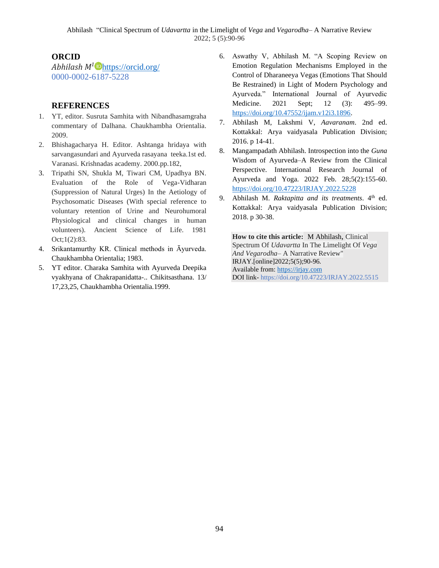## **ORCID**

*Abhilash M<sup>1</sup>* <https://orcid.org/> 0000-0002-6187-5228

## **REFERENCES**

- 1. YT, editor. Susruta Samhita with Nibandhasamgraha commentary of Dalhana. Chaukhambha Orientalia. 2009.
- 2. Bhishagacharya H. Editor. Ashtanga hridaya with sarvangasundari and Ayurveda rasayana teeka.1st ed. Varanasi. Krishnadas academy. 2000.pp.182,
- 3. Tripathi SN, Shukla M, Tiwari CM, Upadhya BN. Evaluation of the Role of Vega-Vidharan (Suppression of Natural Urges) In the Aetiology of Psychosomatic Diseases (With special reference to voluntary retention of Urine and Neurohumoral Physiological and clinical changes in human volunteers). Ancient Science of Life. 1981 Oct;1(2):83.
- 4. Srikantamurthy KR. Clinical methods in Āyurveda. Chaukhambha Orientalia; 1983.
- 5. YT editor. Charaka Samhita with Ayurveda Deepika vyakhyana of Chakrapanidatta-.. Chikitsasthana. 13/ 17,23,25, Chaukhambha Orientalia.1999.
- 6. Aswathy V, Abhilash M. "A Scoping Review on Emotion Regulation Mechanisms Employed in the Control of Dharaneeya Vegas (Emotions That Should Be Restrained) in Light of Modern Psychology and Ayurveda." International Journal of Ayurvedic Medicine. 2021 Sept; 12 (3): 495–99. [https://doi.org/10.47552/ijam.v12i3.1896.](https://doi.org/10.47552/ijam.v12i3.1896)
- 7. Abhilash M, Lakshmi V, *Aavaranam*. 2nd ed. Kottakkal: Arya vaidyasala Publication Division; 2016. p 14-41.
- 8. Mangampadath Abhilash. Introspection into the *Guna* Wisdom of Ayurveda–A Review from the Clinical Perspective. International Research Journal of Ayurveda and Yoga. 2022 Feb. 28;5(2):155-60. <https://doi.org/10.47223/IRJAY.2022.5228>
- 9. Abhilash M. *Raktapitta and its treatments*. 4<sup>th</sup> ed. Kottakkal: Arya vaidyasala Publication Division; 2018. p 30-38.

**How to cite this article:** M Abhilash, Clinical Spectrum Of *Udavartta* In The Limelight Of *Vega And Vegarodha*– A Narrative Review" IRJAY.[online]2022;5(5);90-96. Available from: [https://irjay.com](https://irjay.com/) DOI link- https://doi.org/10.47223/IRJAY.2022.5515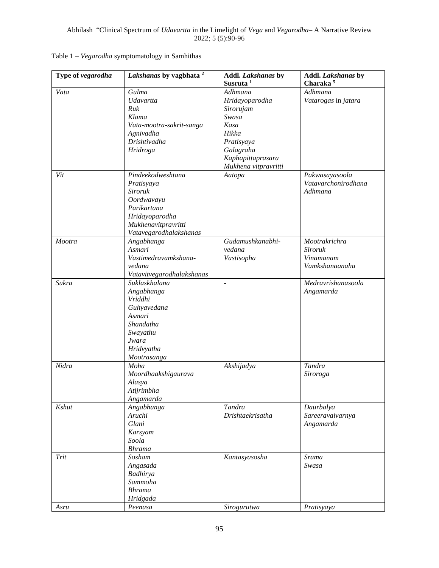| Type of vegarodha | Lakshanas by vagbhata <sup>2</sup>         | <b>Addl. Lakshanas by</b><br>Susruta <sup>1</sup> | Addl. Lakshanas by<br>Charaka <sup>5</sup> |
|-------------------|--------------------------------------------|---------------------------------------------------|--------------------------------------------|
|                   | Gulma                                      | Adhmana                                           | Adhmana                                    |
| Vata              | Udavartta                                  |                                                   |                                            |
|                   | Ruk                                        | Hridayoparodha                                    | Vatarogas in jatara                        |
|                   | Klama                                      | Sirorujam<br>Swasa                                |                                            |
|                   |                                            | Kasa                                              |                                            |
|                   | Vata-mootra-sakrit-sanga                   | Hikka                                             |                                            |
|                   | Agnivadha<br>Drishtivadha                  |                                                   |                                            |
|                   |                                            | Pratisyaya                                        |                                            |
|                   | Hridroga                                   | Galagraha                                         |                                            |
|                   |                                            | Kaphapittaprasara                                 |                                            |
| Vit               | Pindeekodweshtana                          | Mukhena vitpravritti                              | Pakwasayasoola                             |
|                   |                                            | Aatopa                                            | Vatavarchonirodhana                        |
|                   | Pratisyaya<br>Siroruk                      |                                                   | Adhmana                                    |
|                   | Oordwavayu                                 |                                                   |                                            |
|                   | Parikartana                                |                                                   |                                            |
|                   | Hridayoparodha                             |                                                   |                                            |
|                   | Mukhenavitpravritti                        |                                                   |                                            |
|                   | Vatavegarodhalakshanas                     |                                                   |                                            |
| Mootra            | Angabhanga                                 | Gudamushkanabhi-                                  | Mootrakrichra                              |
|                   | Asmari                                     | vedana                                            | <b>Siroruk</b>                             |
|                   | Vastimedravamkshana-                       | Vastisopha                                        | Vinamanam                                  |
|                   | vedana                                     |                                                   | Vamkshanaanaha                             |
|                   |                                            |                                                   |                                            |
| Sukra             | Vatavitvegarodhalakshanas<br>Suklaskhalana |                                                   | Medravrishanasoola                         |
|                   |                                            | $\overline{a}$                                    |                                            |
|                   | Angabhanga<br>Vriddhi                      |                                                   | Angamarda                                  |
|                   |                                            |                                                   |                                            |
|                   | Guhyavedana<br>Asmari                      |                                                   |                                            |
|                   | Shandatha                                  |                                                   |                                            |
|                   | Swayathu                                   |                                                   |                                            |
|                   | Jwara                                      |                                                   |                                            |
|                   | Hridvyatha                                 |                                                   |                                            |
|                   | Mootrasanga                                |                                                   |                                            |
| Nidra             | Moha                                       | Akshijadya                                        | Tandra                                     |
|                   | Moordhaakshigaurava                        |                                                   | Siroroga                                   |
|                   | Alasya                                     |                                                   |                                            |
|                   | Atijrimbha                                 |                                                   |                                            |
|                   | Angamarda                                  |                                                   |                                            |
| Kshut             | Angabhanga                                 | Tandra                                            | Daurbalya                                  |
|                   | Aruchi                                     | Drishtaekrisatha                                  | Sareeravaivarnya                           |
|                   | Glani                                      |                                                   | Angamarda                                  |
|                   | Karsyam                                    |                                                   |                                            |
|                   | Soola                                      |                                                   |                                            |
|                   | <b>Bhrama</b>                              |                                                   |                                            |
| Trit              | Sosham                                     | Kantasyasosha                                     | Srama                                      |
|                   | Angasada                                   |                                                   | Swasa                                      |
|                   | Badhirya                                   |                                                   |                                            |
|                   | Sammoha                                    |                                                   |                                            |
|                   | <b>Bhrama</b>                              |                                                   |                                            |
|                   | Hridgada                                   |                                                   |                                            |
| Asru              | Peenasa                                    | Sirogurutwa                                       | Pratisyaya                                 |
|                   |                                            |                                                   |                                            |

## Table 1 – *Vegarodha* symptomatology in Samhithas